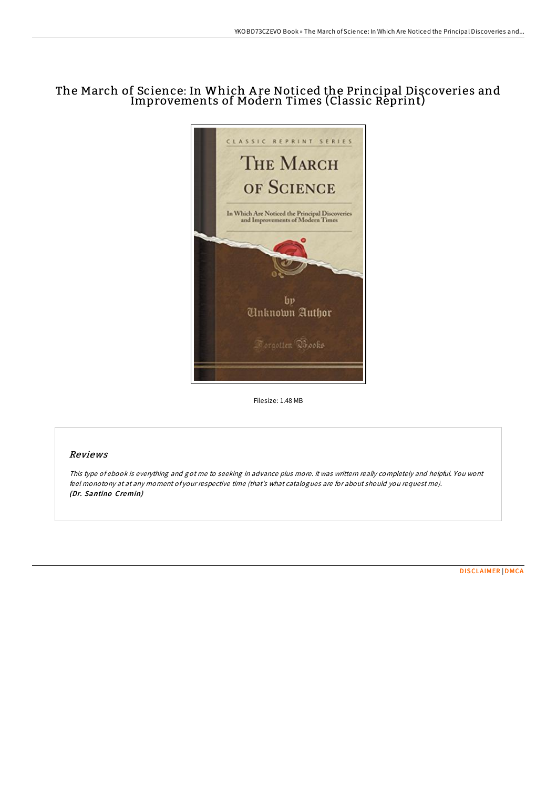# The March of Science: In Which A re Noticed the Principal Discoveries and Improvements of Modern Times (Classic Reprint)



Filesize: 1.48 MB

## Reviews

This type of ebook is everything and got me to seeking in advance plus more. it was writtern really completely and helpful. You wont feel monotony at at any moment of your respective time (that's what catalogues are for about should you request me). (Dr. Santino Cremin)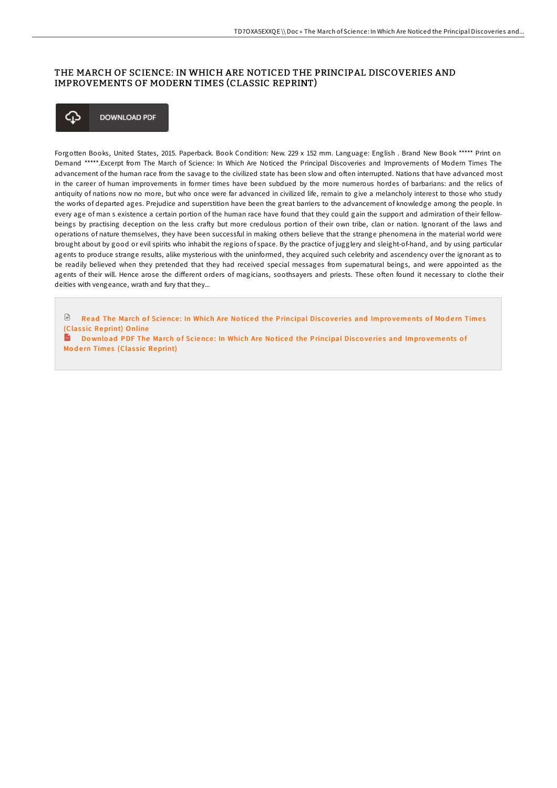### THE MARCH OF SCIENCE: IN WHICH ARE NOTICED THE PRINCIPAL DISCOVERIES AND IMPROVEMENTS OF MODERN TIMES (CLASSIC REPRINT)



Forgotten Books, United States, 2015. Paperback. Book Condition: New. 229 x 152 mm. Language: English . Brand New Book \*\*\*\*\* Print on Demand \*\*\*\*\*.Excerpt from The March of Science: In Which Are Noticed the Principal Discoveries and Improvements of Modern Times The advancement of the human race from the savage to the civilized state has been slow and often interrupted. Nations that have advanced most in the career of human improvements in former times have been subdued by the more numerous hordes of barbarians: and the relics of antiquity of nations now no more, but who once were far advanced in civilized life, remain to give a melancholy interest to those who study the works of departed ages. Prejudice and superstition have been the great barriers to the advancement of knowledge among the people. In every age of man s existence a certain portion of the human race have found that they could gain the support and admiration of their fellowbeings by practising deception on the less craFy but more credulous portion of their own tribe, clan or nation. Ignorant of the laws and operations of nature themselves, they have been successful in making others believe that the strange phenomena in the material world were brought about by good or evil spirits who inhabit the regions of space. By the practice of jugglery and sleight-of-hand, and by using particular agents to produce strange results, alike mysterious with the uninformed, they acquired such celebrity and ascendency over the ignorant as to be readily believed when they pretended that they had received special messages from supernatural beings, and were appointed as the agents of their will. Hence arose the different orders of magicians, soothsayers and priests. These often found it necessary to clothe their deities with vengeance, wrath and fury that they...

 $\Box$  Read The March of Science: In Which Are Noticed the [Principal](http://almighty24.tech/the-march-of-science-in-which-are-noticed-the-pr.html) Discoveries and Improvements of Modern Times (Classic Reprint) Online

Download PDF The March of Science: In Which Are Noticed the [Principal](http://almighty24.tech/the-march-of-science-in-which-are-noticed-the-pr.html) Discoveries and Improvements of Modern Times (Classic Reprint)